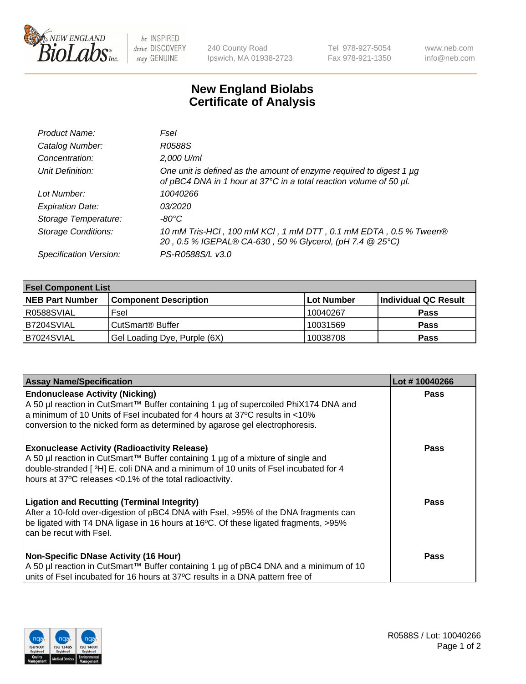

 $be$  INSPIRED drive DISCOVERY stay GENUINE

240 County Road Ipswich, MA 01938-2723 Tel 978-927-5054 Fax 978-921-1350 www.neb.com info@neb.com

## **New England Biolabs Certificate of Analysis**

| Product Name:              | Fsel                                                                                                                                      |
|----------------------------|-------------------------------------------------------------------------------------------------------------------------------------------|
| Catalog Number:            | R0588S                                                                                                                                    |
| Concentration:             | 2,000 U/ml                                                                                                                                |
| Unit Definition:           | One unit is defined as the amount of enzyme required to digest 1 µg<br>of pBC4 DNA in 1 hour at 37°C in a total reaction volume of 50 µl. |
| Lot Number:                | 10040266                                                                                                                                  |
| <b>Expiration Date:</b>    | 03/2020                                                                                                                                   |
| Storage Temperature:       | -80°C.                                                                                                                                    |
| <b>Storage Conditions:</b> | 10 mM Tris-HCl, 100 mM KCl, 1 mM DTT, 0.1 mM EDTA, 0.5 % Tween®<br>20, 0.5 % IGEPAL® CA-630, 50 % Glycerol, (pH 7.4 @ 25°C)               |
| Specification Version:     | PS-R0588S/L v3.0                                                                                                                          |

| <b>Fsel Component List</b> |                              |             |                      |  |  |
|----------------------------|------------------------------|-------------|----------------------|--|--|
| <b>NEB Part Number</b>     | <b>Component Description</b> | ∣Lot Number | Individual QC Result |  |  |
| R0588SVIAL                 | Fsel                         | 10040267    | <b>Pass</b>          |  |  |
| IB7204SVIAL                | CutSmart® Buffer             | 10031569    | <b>Pass</b>          |  |  |
| B7024SVIAL                 | Gel Loading Dye, Purple (6X) | 10038708    | <b>Pass</b>          |  |  |

| <b>Assay Name/Specification</b>                                                                                                                                                                                                                                                          | Lot #10040266 |
|------------------------------------------------------------------------------------------------------------------------------------------------------------------------------------------------------------------------------------------------------------------------------------------|---------------|
| <b>Endonuclease Activity (Nicking)</b><br>  A 50 µl reaction in CutSmart™ Buffer containing 1 µg of supercoiled PhiX174 DNA and<br>a minimum of 10 Units of Fsel incubated for 4 hours at 37°C results in <10%                                                                           | <b>Pass</b>   |
| conversion to the nicked form as determined by agarose gel electrophoresis.                                                                                                                                                                                                              |               |
| <b>Exonuclease Activity (Radioactivity Release)</b><br>A 50 µl reaction in CutSmart™ Buffer containing 1 µg of a mixture of single and<br>double-stranded [3H] E. coli DNA and a minimum of 10 units of Fsel incubated for 4<br>hours at 37°C releases <0.1% of the total radioactivity. | <b>Pass</b>   |
| <b>Ligation and Recutting (Terminal Integrity)</b><br>After a 10-fold over-digestion of pBC4 DNA with Fsel, >95% of the DNA fragments can<br>be ligated with T4 DNA ligase in 16 hours at 16°C. Of these ligated fragments, >95%<br>can be recut with Fsel.                              | Pass          |
| <b>Non-Specific DNase Activity (16 Hour)</b>                                                                                                                                                                                                                                             | <b>Pass</b>   |
| A 50 µl reaction in CutSmart™ Buffer containing 1 µg of pBC4 DNA and a minimum of 10<br>units of Fsel incubated for 16 hours at 37°C results in a DNA pattern free of                                                                                                                    |               |